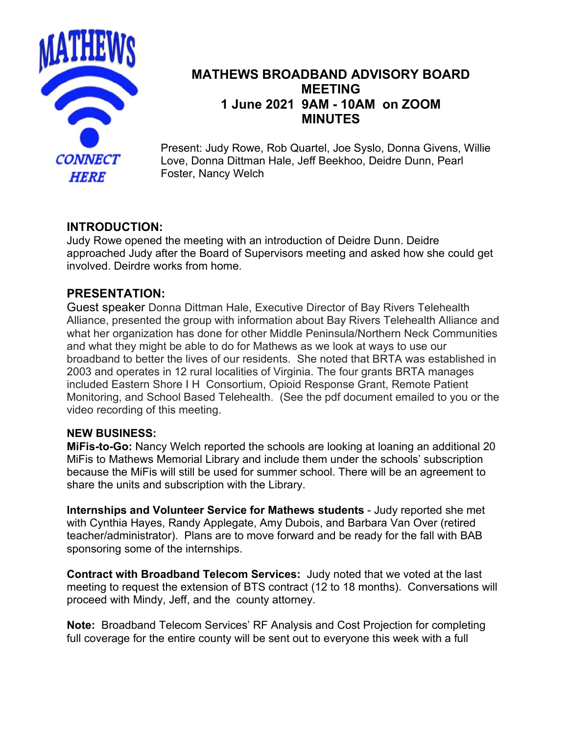

# **MATHEWS BROADBAND ADVISORY BOARD MEETING 1 June 2021 9AM - 10AM on ZOOM MINUTES**

Present: Judy Rowe, Rob Quartel, Joe Syslo, Donna Givens, Willie Love, Donna Dittman Hale, Jeff Beekhoo, Deidre Dunn, Pearl Foster, Nancy Welch

## **INTRODUCTION:**

Judy Rowe opened the meeting with an introduction of Deidre Dunn. Deidre approached Judy after the Board of Supervisors meeting and asked how she could get involved. Deirdre works from home.

## **PRESENTATION:**

Guest speaker Donna Dittman Hale, Executive Director of Bay Rivers Telehealth Alliance, presented the group with information about Bay Rivers Telehealth Alliance and what her organization has done for other Middle Peninsula/Northern Neck Communities and what they might be able to do for Mathews as we look at ways to use our broadband to better the lives of our residents. She noted that BRTA was established in 2003 and operates in 12 rural localities of Virginia. The four grants BRTA manages included Eastern Shore I H Consortium, Opioid Response Grant, Remote Patient Monitoring, and School Based Telehealth. (See the pdf document emailed to you or the video recording of this meeting.

#### **NEW BUSINESS:**

**MiFis-to-Go:** Nancy Welch reported the schools are looking at loaning an additional 20 MiFis to Mathews Memorial Library and include them under the schools' subscription because the MiFis will still be used for summer school. There will be an agreement to share the units and subscription with the Library.

**Internships and Volunteer Service for Mathews students** - Judy reported she met with Cynthia Hayes, Randy Applegate, Amy Dubois, and Barbara Van Over (retired teacher/administrator). Plans are to move forward and be ready for the fall with BAB sponsoring some of the internships.

**Contract with Broadband Telecom Services:** Judy noted that we voted at the last meeting to request the extension of BTS contract (12 to 18 months). Conversations will proceed with Mindy, Jeff, and the county attorney.

**Note:** Broadband Telecom Services' RF Analysis and Cost Projection for completing full coverage for the entire county will be sent out to everyone this week with a full